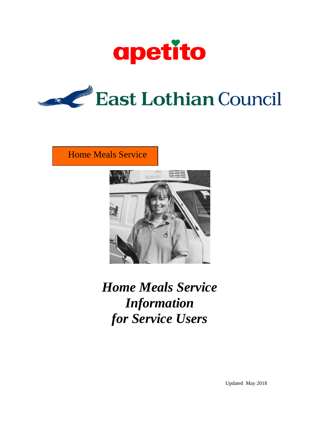



Home Meals Service



*Home Meals Service Information for Service Users*

Updated May 2018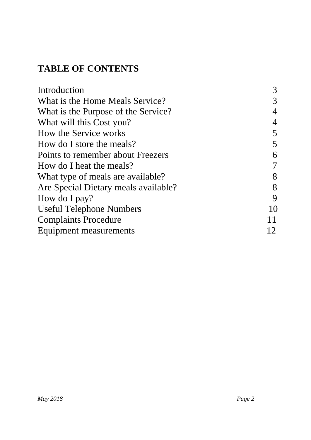# **TABLE OF CONTENTS**

| Introduction                         |    |
|--------------------------------------|----|
| What is the Home Meals Service?      |    |
| What is the Purpose of the Service?  |    |
| What will this Cost you?             |    |
| How the Service works                |    |
| How do I store the meals?            |    |
| Points to remember about Freezers    | 6  |
| How do I heat the meals?             |    |
| What type of meals are available?    | 8  |
| Are Special Dietary meals available? | 8  |
| How do I pay?                        | 9  |
| <b>Useful Telephone Numbers</b>      | 10 |
| <b>Complaints Procedure</b>          | 11 |
| Equipment measurements               |    |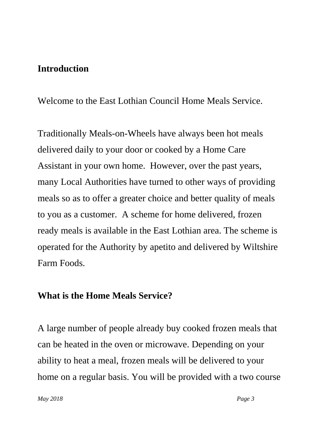#### **Introduction**

Welcome to the East Lothian Council Home Meals Service.

Traditionally Meals-on-Wheels have always been hot meals delivered daily to your door or cooked by a Home Care Assistant in your own home. However, over the past years, many Local Authorities have turned to other ways of providing meals so as to offer a greater choice and better quality of meals to you as a customer. A scheme for home delivered, frozen ready meals is available in the East Lothian area. The scheme is operated for the Authority by apetito and delivered by Wiltshire Farm Foods.

#### **What is the Home Meals Service?**

A large number of people already buy cooked frozen meals that can be heated in the oven or microwave. Depending on your ability to heat a meal, frozen meals will be delivered to your home on a regular basis. You will be provided with a two course

*May 2018 Page 3*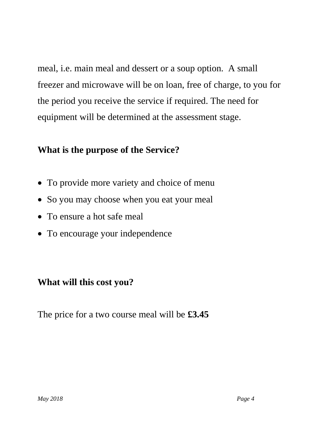meal, i.e. main meal and dessert or a soup option. A small freezer and microwave will be on loan, free of charge, to you for the period you receive the service if required. The need for equipment will be determined at the assessment stage.

## **What is the purpose of the Service?**

- To provide more variety and choice of menu
- So you may choose when you eat your meal
- To ensure a hot safe meal
- To encourage your independence

## **What will this cost you?**

The price for a two course meal will be **£3.45**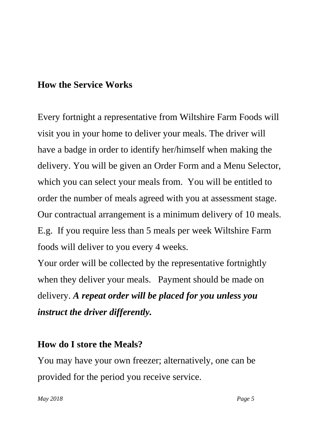## **How the Service Works**

Every fortnight a representative from Wiltshire Farm Foods will visit you in your home to deliver your meals. The driver will have a badge in order to identify her/himself when making the delivery. You will be given an Order Form and a Menu Selector, which you can select your meals from. You will be entitled to order the number of meals agreed with you at assessment stage. Our contractual arrangement is a minimum delivery of 10 meals. E.g. If you require less than 5 meals per week Wiltshire Farm foods will deliver to you every 4 weeks.

Your order will be collected by the representative fortnightly when they deliver your meals. Payment should be made on delivery. *A repeat order will be placed for you unless you instruct the driver differently.*

## **How do I store the Meals?**

You may have your own freezer; alternatively, one can be provided for the period you receive service.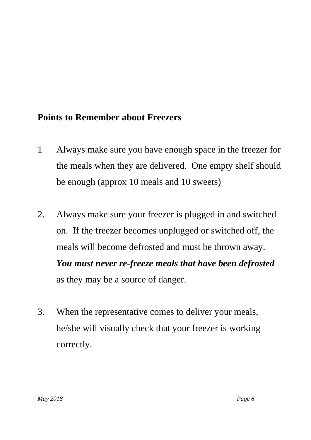### **Points to Remember about Freezers**

- 1 Always make sure you have enough space in the freezer for the meals when they are delivered. One empty shelf should be enough (approx 10 meals and 10 sweets)
- 2. Always make sure your freezer is plugged in and switched on. If the freezer becomes unplugged or switched off, the meals will become defrosted and must be thrown away. *You must never re-freeze meals that have been defrosted* as they may be a source of danger.
- 3. When the representative comes to deliver your meals, he/she will visually check that your freezer is working correctly.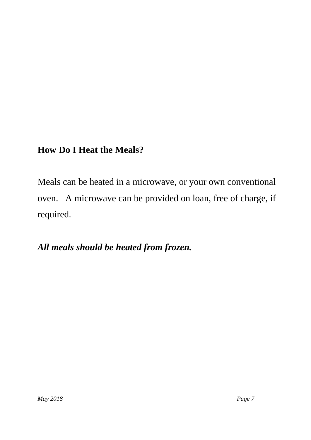## **How Do I Heat the Meals?**

Meals can be heated in a microwave, or your own conventional oven. A microwave can be provided on loan, free of charge, if required.

*All meals should be heated from frozen.*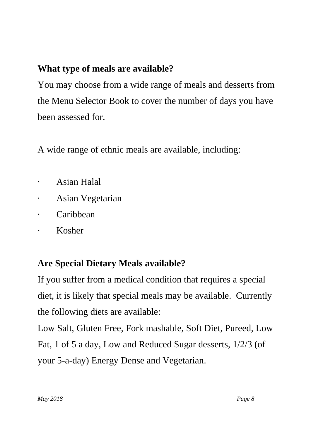## **What type of meals are available?**

You may choose from a wide range of meals and desserts from the Menu Selector Book to cover the number of days you have been assessed for.

A wide range of ethnic meals are available, including:

- · Asian Halal
- Asian Vegetarian
- · Caribbean
- · Kosher

## **Are Special Dietary Meals available?**

If you suffer from a medical condition that requires a special diet, it is likely that special meals may be available. Currently the following diets are available:

Low Salt, Gluten Free, Fork mashable, Soft Diet, Pureed, Low Fat, 1 of 5 a day, Low and Reduced Sugar desserts, 1/2/3 (of your 5-a-day) Energy Dense and Vegetarian.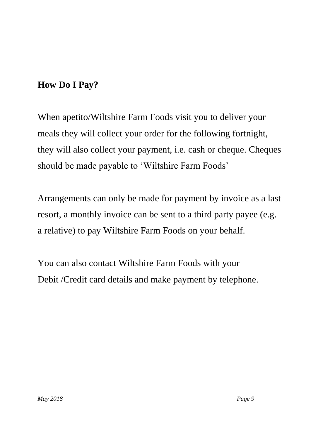## **How Do I Pay?**

When apetito/Wiltshire Farm Foods visit you to deliver your meals they will collect your order for the following fortnight, they will also collect your payment, i.e. cash or cheque. Cheques should be made payable to 'Wiltshire Farm Foods'

Arrangements can only be made for payment by invoice as a last resort, a monthly invoice can be sent to a third party payee (e.g. a relative) to pay Wiltshire Farm Foods on your behalf.

You can also contact Wiltshire Farm Foods with your Debit /Credit card details and make payment by telephone.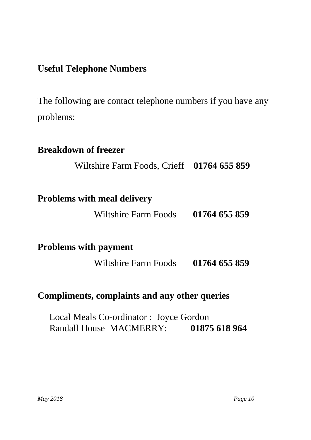## **Useful Telephone Numbers**

The following are contact telephone numbers if you have any problems:

# **Breakdown of freezer**

Wiltshire Farm Foods, Crieff **01764 655 859**

### **Problems with meal delivery**

Wiltshire Farm Foods **01764 655 859**

**Problems with payment**

Wiltshire Farm Foods **01764 655 859**

#### **Compliments, complaints and any other queries**

 Local Meals Co-ordinator : Joyce Gordon Randall House MACMERRY: **01875 618 964**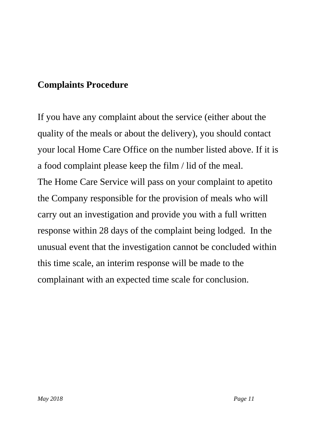## **Complaints Procedure**

If you have any complaint about the service (either about the quality of the meals or about the delivery), you should contact your local Home Care Office on the number listed above. If it is a food complaint please keep the film / lid of the meal. The Home Care Service will pass on your complaint to apetito the Company responsible for the provision of meals who will carry out an investigation and provide you with a full written response within 28 days of the complaint being lodged. In the unusual event that the investigation cannot be concluded within this time scale, an interim response will be made to the complainant with an expected time scale for conclusion.